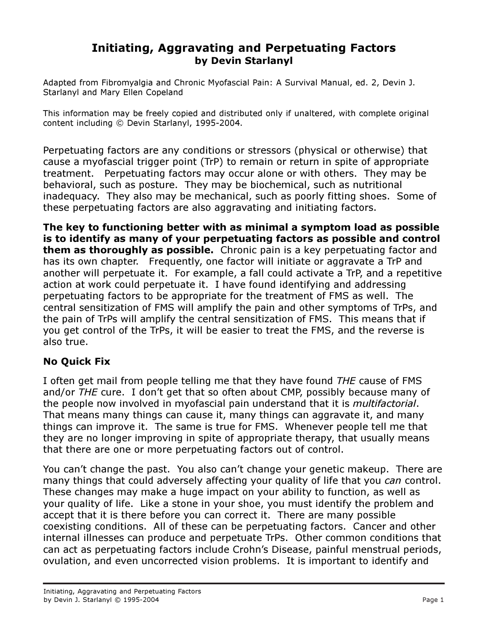# Initiating, Aggravating and Perpetuating Factors by Devin Starlanyl

Adapted from Fibromyalgia and Chronic Myofascial Pain: A Survival Manual, ed. 2, Devin J. Starlanyl and Mary Ellen Copeland

This information may be freely copied and distributed only if unaltered, with complete original content including © Devin Starlanyl, 1995-2004.

Perpetuating factors are any conditions or stressors (physical or otherwise) that cause a myofascial trigger point (TrP) to remain or return in spite of appropriate treatment. Perpetuating factors may occur alone or with others. They may be behavioral, such as posture. They may be biochemical, such as nutritional inadequacy. They also may be mechanical, such as poorly fitting shoes. Some of these perpetuating factors are also aggravating and initiating factors.

The key to functioning better with as minimal a symptom load as possible is to identify as many of your perpetuating factors as possible and control them as thoroughly as possible. Chronic pain is a key perpetuating factor and has its own chapter. Frequently, one factor will initiate or aggravate a TrP and another will perpetuate it. For example, a fall could activate a TrP, and a repetitive action at work could perpetuate it. I have found identifying and addressing perpetuating factors to be appropriate for the treatment of FMS as well. The central sensitization of FMS will amplify the pain and other symptoms of TrPs, and the pain of TrPs will amplify the central sensitization of FMS. This means that if you get control of the TrPs, it will be easier to treat the FMS, and the reverse is also true.

### No Quick Fix

I often get mail from people telling me that they have found THE cause of FMS and/or THE cure. I don't get that so often about CMP, possibly because many of the people now involved in myofascial pain understand that it is *multifactorial*. That means many things can cause it, many things can aggravate it, and many things can improve it. The same is true for FMS. Whenever people tell me that they are no longer improving in spite of appropriate therapy, that usually means that there are one or more perpetuating factors out of control.

You can't change the past. You also can't change your genetic makeup. There are many things that could adversely affecting your quality of life that you can control. These changes may make a huge impact on your ability to function, as well as your quality of life. Like a stone in your shoe, you must identify the problem and accept that it is there before you can correct it. There are many possible coexisting conditions. All of these can be perpetuating factors. Cancer and other internal illnesses can produce and perpetuate TrPs. Other common conditions that can act as perpetuating factors include Crohn's Disease, painful menstrual periods, ovulation, and even uncorrected vision problems. It is important to identify and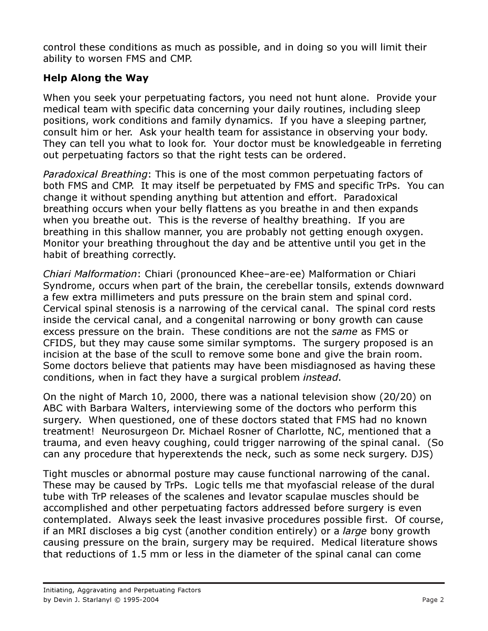control these conditions as much as possible, and in doing so you will limit their ability to worsen FMS and CMP.

# Help Along the Way

When you seek your perpetuating factors, you need not hunt alone. Provide your medical team with specific data concerning your daily routines, including sleep positions, work conditions and family dynamics. If you have a sleeping partner, consult him or her. Ask your health team for assistance in observing your body. They can tell you what to look for. Your doctor must be knowledgeable in ferreting out perpetuating factors so that the right tests can be ordered.

Paradoxical Breathing: This is one of the most common perpetuating factors of both FMS and CMP. It may itself be perpetuated by FMS and specific TrPs. You can change it without spending anything but attention and effort. Paradoxical breathing occurs when your belly flattens as you breathe in and then expands when you breathe out. This is the reverse of healthy breathing. If you are breathing in this shallow manner, you are probably not getting enough oxygen. Monitor your breathing throughout the day and be attentive until you get in the habit of breathing correctly.

Chiari Malformation: Chiari (pronounced Khee–are-ee) Malformation or Chiari Syndrome, occurs when part of the brain, the cerebellar tonsils, extends downward a few extra millimeters and puts pressure on the brain stem and spinal cord. Cervical spinal stenosis is a narrowing of the cervical canal. The spinal cord rests inside the cervical canal, and a congenital narrowing or bony growth can cause excess pressure on the brain. These conditions are not the same as FMS or CFIDS, but they may cause some similar symptoms. The surgery proposed is an incision at the base of the scull to remove some bone and give the brain room. Some doctors believe that patients may have been misdiagnosed as having these conditions, when in fact they have a surgical problem instead.

On the night of March 10, 2000, there was a national television show (20/20) on ABC with Barbara Walters, interviewing some of the doctors who perform this surgery. When questioned, one of these doctors stated that FMS had no known treatment! Neurosurgeon Dr. Michael Rosner of Charlotte, NC, mentioned that a trauma, and even heavy coughing, could trigger narrowing of the spinal canal. (So can any procedure that hyperextends the neck, such as some neck surgery. DJS)

Tight muscles or abnormal posture may cause functional narrowing of the canal. These may be caused by TrPs. Logic tells me that myofascial release of the dural tube with TrP releases of the scalenes and levator scapulae muscles should be accomplished and other perpetuating factors addressed before surgery is even contemplated. Always seek the least invasive procedures possible first. Of course, if an MRI discloses a big cyst (another condition entirely) or a large bony growth causing pressure on the brain, surgery may be required. Medical literature shows that reductions of 1.5 mm or less in the diameter of the spinal canal can come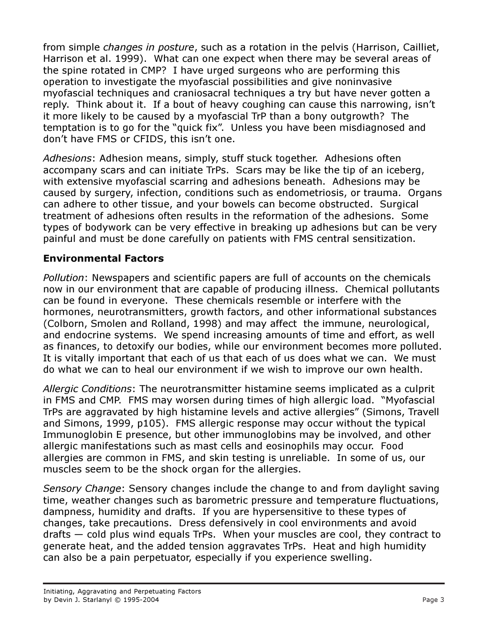from simple changes in posture, such as a rotation in the pelvis (Harrison, Cailliet, Harrison et al. 1999). What can one expect when there may be several areas of the spine rotated in CMP? I have urged surgeons who are performing this operation to investigate the myofascial possibilities and give noninvasive myofascial techniques and craniosacral techniques a try but have never gotten a reply. Think about it. If a bout of heavy coughing can cause this narrowing, isn't it more likely to be caused by a myofascial TrP than a bony outgrowth? The temptation is to go for the "quick fix". Unless you have been misdiagnosed and don't have FMS or CFIDS, this isn't one.

Adhesions: Adhesion means, simply, stuff stuck together. Adhesions often accompany scars and can initiate TrPs. Scars may be like the tip of an iceberg, with extensive myofascial scarring and adhesions beneath. Adhesions may be caused by surgery, infection, conditions such as endometriosis, or trauma. Organs can adhere to other tissue, and your bowels can become obstructed. Surgical treatment of adhesions often results in the reformation of the adhesions. Some types of bodywork can be very effective in breaking up adhesions but can be very painful and must be done carefully on patients with FMS central sensitization.

## Environmental Factors

Pollution: Newspapers and scientific papers are full of accounts on the chemicals now in our environment that are capable of producing illness. Chemical pollutants can be found in everyone. These chemicals resemble or interfere with the hormones, neurotransmitters, growth factors, and other informational substances (Colborn, Smolen and Rolland, 1998) and may affect the immune, neurological, and endocrine systems. We spend increasing amounts of time and effort, as well as finances, to detoxify our bodies, while our environment becomes more polluted. It is vitally important that each of us that each of us does what we can. We must do what we can to heal our environment if we wish to improve our own health.

Allergic Conditions: The neurotransmitter histamine seems implicated as a culprit in FMS and CMP. FMS may worsen during times of high allergic load. "Myofascial TrPs are aggravated by high histamine levels and active allergies" (Simons, Travell and Simons, 1999, p105). FMS allergic response may occur without the typical Immunoglobin E presence, but other immunoglobins may be involved, and other allergic manifestations such as mast cells and eosinophils may occur. Food allergies are common in FMS, and skin testing is unreliable. In some of us, our muscles seem to be the shock organ for the allergies.

Sensory Change: Sensory changes include the change to and from daylight saving time, weather changes such as barometric pressure and temperature fluctuations, dampness, humidity and drafts. If you are hypersensitive to these types of changes, take precautions. Dress defensively in cool environments and avoid drafts — cold plus wind equals TrPs. When your muscles are cool, they contract to generate heat, and the added tension aggravates TrPs. Heat and high humidity can also be a pain perpetuator, especially if you experience swelling.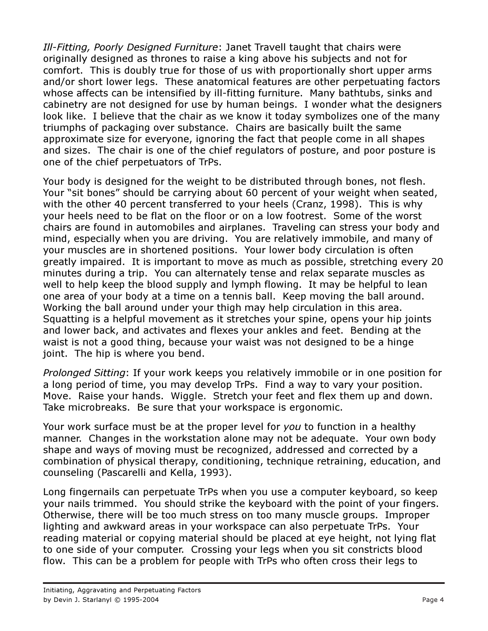Ill-Fitting, Poorly Designed Furniture: Janet Travell taught that chairs were originally designed as thrones to raise a king above his subjects and not for comfort. This is doubly true for those of us with proportionally short upper arms and/or short lower legs. These anatomical features are other perpetuating factors whose affects can be intensified by ill-fitting furniture. Many bathtubs, sinks and cabinetry are not designed for use by human beings. I wonder what the designers look like. I believe that the chair as we know it today symbolizes one of the many triumphs of packaging over substance. Chairs are basically built the same approximate size for everyone, ignoring the fact that people come in all shapes and sizes. The chair is one of the chief regulators of posture, and poor posture is one of the chief perpetuators of TrPs.

Your body is designed for the weight to be distributed through bones, not flesh. Your "sit bones" should be carrying about 60 percent of your weight when seated, with the other 40 percent transferred to your heels (Cranz, 1998). This is why your heels need to be flat on the floor or on a low footrest. Some of the worst chairs are found in automobiles and airplanes. Traveling can stress your body and mind, especially when you are driving. You are relatively immobile, and many of your muscles are in shortened positions. Your lower body circulation is often greatly impaired. It is important to move as much as possible, stretching every 20 minutes during a trip. You can alternately tense and relax separate muscles as well to help keep the blood supply and lymph flowing. It may be helpful to lean one area of your body at a time on a tennis ball. Keep moving the ball around. Working the ball around under your thigh may help circulation in this area. Squatting is a helpful movement as it stretches your spine, opens your hip joints and lower back, and activates and flexes your ankles and feet. Bending at the waist is not a good thing, because your waist was not designed to be a hinge joint. The hip is where you bend.

Prolonged Sitting: If your work keeps you relatively immobile or in one position for a long period of time, you may develop TrPs. Find a way to vary your position. Move. Raise your hands. Wiggle. Stretch your feet and flex them up and down. Take microbreaks. Be sure that your workspace is ergonomic.

Your work surface must be at the proper level for you to function in a healthy manner. Changes in the workstation alone may not be adequate. Your own body shape and ways of moving must be recognized, addressed and corrected by a combination of physical therapy, conditioning, technique retraining, education, and counseling (Pascarelli and Kella, 1993).

Long fingernails can perpetuate TrPs when you use a computer keyboard, so keep your nails trimmed. You should strike the keyboard with the point of your fingers. Otherwise, there will be too much stress on too many muscle groups. Improper lighting and awkward areas in your workspace can also perpetuate TrPs. Your reading material or copying material should be placed at eye height, not lying flat to one side of your computer. Crossing your legs when you sit constricts blood flow. This can be a problem for people with TrPs who often cross their legs to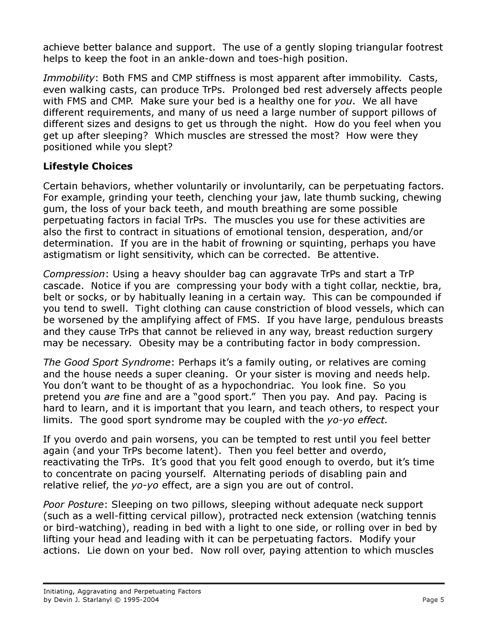achieve better balance and support. The use of a gently sloping triangular footrest helps to keep the foot in an ankle-down and toes-high position.

Immobility: Both FMS and CMP stiffness is most apparent after immobility. Casts, even walking casts, can produce TrPs. Prolonged bed rest adversely affects people with FMS and CMP. Make sure your bed is a healthy one for you. We all have different requirements, and many of us need a large number of support pillows of different sizes and designs to get us through the night. How do you feel when you get up after sleeping? Which muscles are stressed the most? How were they positioned while you slept?

# Lifestyle Choices

Certain behaviors, whether voluntarily or involuntarily, can be perpetuating factors. For example, grinding your teeth, clenching your jaw, late thumb sucking, chewing gum, the loss of your back teeth, and mouth breathing are some possible perpetuating factors in facial TrPs. The muscles you use for these activities are also the first to contract in situations of emotional tension, desperation, and/or determination. If you are in the habit of frowning or squinting, perhaps you have astigmatism or light sensitivity, which can be corrected. Be attentive.

Compression: Using a heavy shoulder bag can aggravate TrPs and start a TrP cascade. Notice if you are compressing your body with a tight collar, necktie, bra, belt or socks, or by habitually leaning in a certain way. This can be compounded if you tend to swell. Tight clothing can cause constriction of blood vessels, which can be worsened by the amplifying affect of FMS. If you have large, pendulous breasts and they cause TrPs that cannot be relieved in any way, breast reduction surgery may be necessary. Obesity may be a contributing factor in body compression.

The Good Sport Syndrome: Perhaps it's a family outing, or relatives are coming and the house needs a super cleaning. Or your sister is moving and needs help. You don't want to be thought of as a hypochondriac. You look fine. So you pretend you are fine and are a "good sport." Then you pay. And pay. Pacing is hard to learn, and it is important that you learn, and teach others, to respect your limits. The good sport syndrome may be coupled with the yo-yo effect.

If you overdo and pain worsens, you can be tempted to rest until you feel better again (and your TrPs become latent). Then you feel better and overdo, reactivating the TrPs. It's good that you felt good enough to overdo, but it's time to concentrate on pacing yourself. Alternating periods of disabling pain and relative relief, the yo-yo effect, are a sign you are out of control.

Poor Posture: Sleeping on two pillows, sleeping without adequate neck support (such as a well-fitting cervical pillow), protracted neck extension (watching tennis or bird-watching), reading in bed with a light to one side, or rolling over in bed by lifting your head and leading with it can be perpetuating factors. Modify your actions. Lie down on your bed. Now roll over, paying attention to which muscles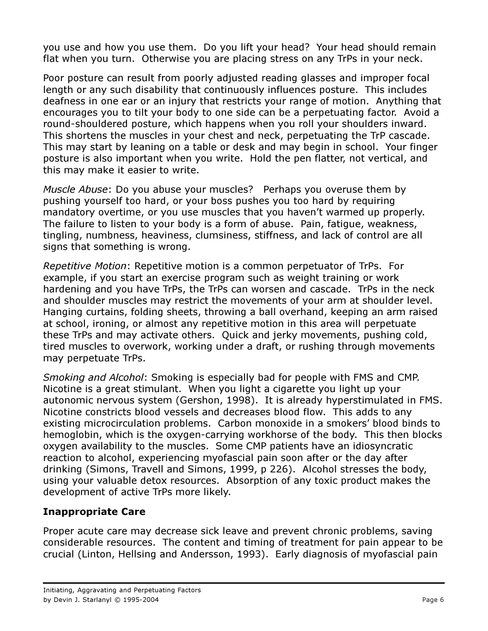you use and how you use them. Do you lift your head? Your head should remain flat when you turn. Otherwise you are placing stress on any TrPs in your neck.

Poor posture can result from poorly adjusted reading glasses and improper focal length or any such disability that continuously influences posture. This includes deafness in one ear or an injury that restricts your range of motion. Anything that encourages you to tilt your body to one side can be a perpetuating factor. Avoid a round-shouldered posture, which happens when you roll your shoulders inward. This shortens the muscles in your chest and neck, perpetuating the TrP cascade. This may start by leaning on a table or desk and may begin in school. Your finger posture is also important when you write. Hold the pen flatter, not vertical, and this may make it easier to write.

Muscle Abuse: Do you abuse your muscles? Perhaps you overuse them by pushing yourself too hard, or your boss pushes you too hard by requiring mandatory overtime, or you use muscles that you haven't warmed up properly. The failure to listen to your body is a form of abuse. Pain, fatigue, weakness, tingling, numbness, heaviness, clumsiness, stiffness, and lack of control are all signs that something is wrong.

Repetitive Motion: Repetitive motion is a common perpetuator of TrPs. For example, if you start an exercise program such as weight training or work hardening and you have TrPs, the TrPs can worsen and cascade. TrPs in the neck and shoulder muscles may restrict the movements of your arm at shoulder level. Hanging curtains, folding sheets, throwing a ball overhand, keeping an arm raised at school, ironing, or almost any repetitive motion in this area will perpetuate these TrPs and may activate others. Quick and jerky movements, pushing cold, tired muscles to overwork, working under a draft, or rushing through movements may perpetuate TrPs.

Smoking and Alcohol: Smoking is especially bad for people with FMS and CMP. Nicotine is a great stimulant. When you light a cigarette you light up your autonomic nervous system (Gershon, 1998). It is already hyperstimulated in FMS. Nicotine constricts blood vessels and decreases blood flow. This adds to any existing microcirculation problems. Carbon monoxide in a smokers' blood binds to hemoglobin, which is the oxygen-carrying workhorse of the body. This then blocks oxygen availability to the muscles. Some CMP patients have an idiosyncratic reaction to alcohol, experiencing myofascial pain soon after or the day after drinking (Simons, Travell and Simons, 1999, p 226). Alcohol stresses the body, using your valuable detox resources. Absorption of any toxic product makes the development of active TrPs more likely.

# Inappropriate Care

Proper acute care may decrease sick leave and prevent chronic problems, saving considerable resources. The content and timing of treatment for pain appear to be crucial (Linton, Hellsing and Andersson, 1993). Early diagnosis of myofascial pain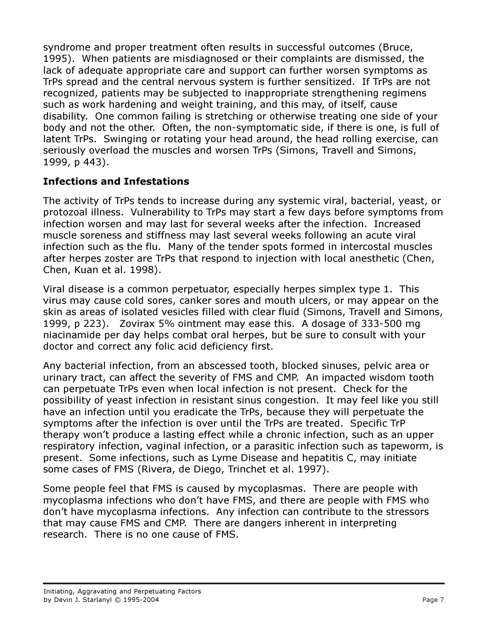syndrome and proper treatment often results in successful outcomes (Bruce, 1995). When patients are misdiagnosed or their complaints are dismissed, the lack of adequate appropriate care and support can further worsen symptoms as TrPs spread and the central nervous system is further sensitized. If TrPs are not recognized, patients may be subjected to inappropriate strengthening regimens such as work hardening and weight training, and this may, of itself, cause disability. One common failing is stretching or otherwise treating one side of your body and not the other. Often, the non-symptomatic side, if there is one, is full of latent TrPs. Swinging or rotating your head around, the head rolling exercise, can seriously overload the muscles and worsen TrPs (Simons, Travell and Simons, 1999, p 443).

# Infections and Infestations

The activity of TrPs tends to increase during any systemic viral, bacterial, yeast, or protozoal illness. Vulnerability to TrPs may start a few days before symptoms from infection worsen and may last for several weeks after the infection. Increased muscle soreness and stiffness may last several weeks following an acute viral infection such as the flu. Many of the tender spots formed in intercostal muscles after herpes zoster are TrPs that respond to injection with local anesthetic (Chen, Chen, Kuan et al. 1998).

Viral disease is a common perpetuator, especially herpes simplex type 1. This virus may cause cold sores, canker sores and mouth ulcers, or may appear on the skin as areas of isolated vesicles filled with clear fluid (Simons, Travell and Simons, 1999, p 223). Zovirax 5% ointment may ease this. A dosage of 333-500 mg niacinamide per day helps combat oral herpes, but be sure to consult with your doctor and correct any folic acid deficiency first.

Any bacterial infection, from an abscessed tooth, blocked sinuses, pelvic area or urinary tract, can affect the severity of FMS and CMP. An impacted wisdom tooth can perpetuate TrPs even when local infection is not present. Check for the possibility of yeast infection in resistant sinus congestion. It may feel like you still have an infection until you eradicate the TrPs, because they will perpetuate the symptoms after the infection is over until the TrPs are treated. Specific TrP therapy won't produce a lasting effect while a chronic infection, such as an upper respiratory infection, vaginal infection, or a parasitic infection such as tapeworm, is present. Some infections, such as Lyme Disease and hepatitis C, may initiate some cases of FMS (Rivera, de Diego, Trinchet et al. 1997).

Some people feel that FMS is caused by mycoplasmas. There are people with mycoplasma infections who don't have FMS, and there are people with FMS who don't have mycoplasma infections. Any infection can contribute to the stressors that may cause FMS and CMP. There are dangers inherent in interpreting research. There is no one cause of FMS.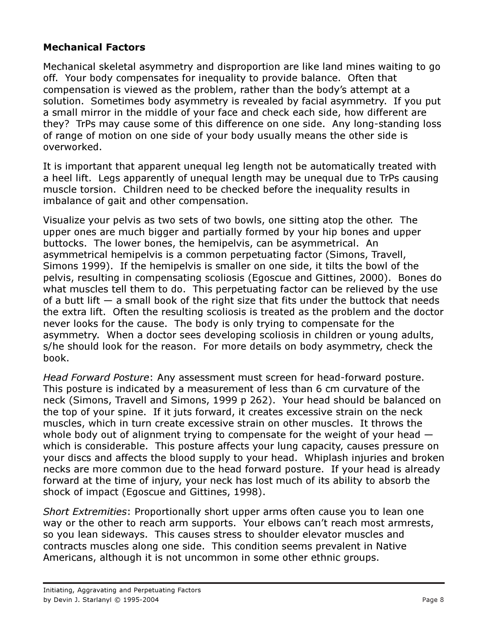### Mechanical Factors

Mechanical skeletal asymmetry and disproportion are like land mines waiting to go off. Your body compensates for inequality to provide balance. Often that compensation is viewed as the problem, rather than the body's attempt at a solution. Sometimes body asymmetry is revealed by facial asymmetry. If you put a small mirror in the middle of your face and check each side, how different are they? TrPs may cause some of this difference on one side. Any long-standing loss of range of motion on one side of your body usually means the other side is overworked.

It is important that apparent unequal leg length not be automatically treated with a heel lift. Legs apparently of unequal length may be unequal due to TrPs causing muscle torsion. Children need to be checked before the inequality results in imbalance of gait and other compensation.

Visualize your pelvis as two sets of two bowls, one sitting atop the other. The upper ones are much bigger and partially formed by your hip bones and upper buttocks. The lower bones, the hemipelvis, can be asymmetrical. An asymmetrical hemipelvis is a common perpetuating factor (Simons, Travell, Simons 1999). If the hemipelvis is smaller on one side, it tilts the bowl of the pelvis, resulting in compensating scoliosis (Egoscue and Gittines, 2000). Bones do what muscles tell them to do. This perpetuating factor can be relieved by the use of a butt lift  $-$  a small book of the right size that fits under the buttock that needs the extra lift. Often the resulting scoliosis is treated as the problem and the doctor never looks for the cause. The body is only trying to compensate for the asymmetry. When a doctor sees developing scoliosis in children or young adults, s/he should look for the reason. For more details on body asymmetry, check the book.

Head Forward Posture: Any assessment must screen for head-forward posture. This posture is indicated by a measurement of less than 6 cm curvature of the neck (Simons, Travell and Simons, 1999 p 262). Your head should be balanced on the top of your spine. If it juts forward, it creates excessive strain on the neck muscles, which in turn create excessive strain on other muscles. It throws the whole body out of alignment trying to compensate for the weight of your head  $$ which is considerable. This posture affects your lung capacity, causes pressure on your discs and affects the blood supply to your head. Whiplash injuries and broken necks are more common due to the head forward posture. If your head is already forward at the time of injury, your neck has lost much of its ability to absorb the shock of impact (Egoscue and Gittines, 1998).

Short Extremities: Proportionally short upper arms often cause you to lean one way or the other to reach arm supports. Your elbows can't reach most armrests, so you lean sideways. This causes stress to shoulder elevator muscles and contracts muscles along one side. This condition seems prevalent in Native Americans, although it is not uncommon in some other ethnic groups.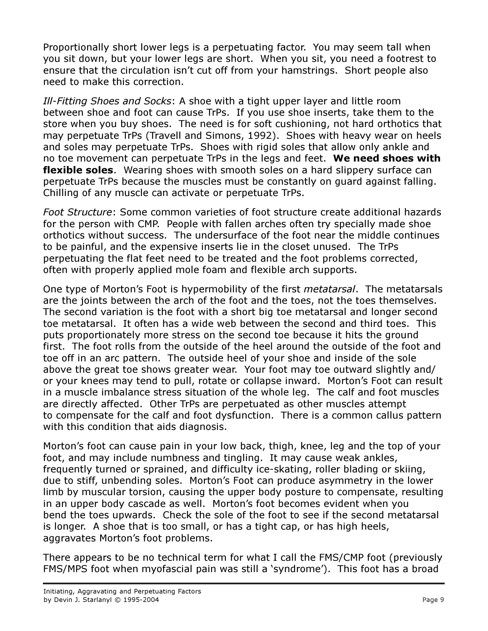Proportionally short lower legs is a perpetuating factor. You may seem tall when you sit down, but your lower legs are short. When you sit, you need a footrest to ensure that the circulation isn't cut off from your hamstrings. Short people also need to make this correction.

Ill-Fitting Shoes and Socks: A shoe with a tight upper layer and little room between shoe and foot can cause TrPs. If you use shoe inserts, take them to the store when you buy shoes. The need is for soft cushioning, not hard orthotics that may perpetuate TrPs (Travell and Simons, 1992). Shoes with heavy wear on heels and soles may perpetuate TrPs. Shoes with rigid soles that allow only ankle and no toe movement can perpetuate TrPs in the legs and feet. We need shoes with **flexible soles.** Wearing shoes with smooth soles on a hard slippery surface can perpetuate TrPs because the muscles must be constantly on guard against falling. Chilling of any muscle can activate or perpetuate TrPs.

Foot Structure: Some common varieties of foot structure create additional hazards for the person with CMP. People with fallen arches often try specially made shoe orthotics without success. The undersurface of the foot near the middle continues to be painful, and the expensive inserts lie in the closet unused. The TrPs perpetuating the flat feet need to be treated and the foot problems corrected, often with properly applied mole foam and flexible arch supports.

One type of Morton's Foot is hypermobility of the first metatarsal. The metatarsals are the joints between the arch of the foot and the toes, not the toes themselves. The second variation is the foot with a short big toe metatarsal and longer second toe metatarsal. It often has a wide web between the second and third toes. This puts proportionately more stress on the second toe because it hits the ground first. The foot rolls from the outside of the heel around the outside of the foot and toe off in an arc pattern. The outside heel of your shoe and inside of the sole above the great toe shows greater wear. Your foot may toe outward slightly and/ or your knees may tend to pull, rotate or collapse inward. Morton's Foot can result in a muscle imbalance stress situation of the whole leg. The calf and foot muscles are directly affected. Other TrPs are perpetuated as other muscles attempt to compensate for the calf and foot dysfunction. There is a common callus pattern with this condition that aids diagnosis.

Morton's foot can cause pain in your low back, thigh, knee, leg and the top of your foot, and may include numbness and tingling. It may cause weak ankles, frequently turned or sprained, and difficulty ice-skating, roller blading or skiing, due to stiff, unbending soles. Morton's Foot can produce asymmetry in the lower limb by muscular torsion, causing the upper body posture to compensate, resulting in an upper body cascade as well. Morton's foot becomes evident when you bend the toes upwards. Check the sole of the foot to see if the second metatarsal is longer. A shoe that is too small, or has a tight cap, or has high heels, aggravates Morton's foot problems.

There appears to be no technical term for what I call the FMS/CMP foot (previously FMS/MPS foot when myofascial pain was still a 'syndrome'). This foot has a broad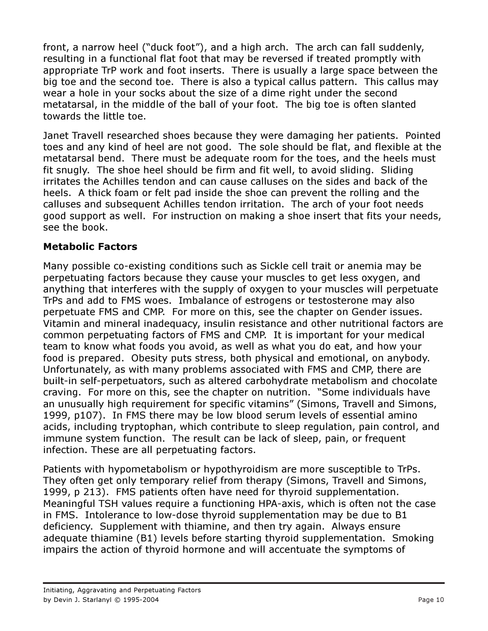front, a narrow heel ("duck foot"), and a high arch. The arch can fall suddenly, resulting in a functional flat foot that may be reversed if treated promptly with appropriate TrP work and foot inserts. There is usually a large space between the big toe and the second toe. There is also a typical callus pattern. This callus may wear a hole in your socks about the size of a dime right under the second metatarsal, in the middle of the ball of your foot. The big toe is often slanted towards the little toe.

Janet Travell researched shoes because they were damaging her patients. Pointed toes and any kind of heel are not good. The sole should be flat, and flexible at the metatarsal bend. There must be adequate room for the toes, and the heels must fit snugly. The shoe heel should be firm and fit well, to avoid sliding. Sliding irritates the Achilles tendon and can cause calluses on the sides and back of the heels. A thick foam or felt pad inside the shoe can prevent the rolling and the calluses and subsequent Achilles tendon irritation. The arch of your foot needs good support as well. For instruction on making a shoe insert that fits your needs, see the book.

## Metabolic Factors

Many possible co-existing conditions such as Sickle cell trait or anemia may be perpetuating factors because they cause your muscles to get less oxygen, and anything that interferes with the supply of oxygen to your muscles will perpetuate TrPs and add to FMS woes. Imbalance of estrogens or testosterone may also perpetuate FMS and CMP. For more on this, see the chapter on Gender issues. Vitamin and mineral inadequacy, insulin resistance and other nutritional factors are common perpetuating factors of FMS and CMP. It is important for your medical team to know what foods you avoid, as well as what you do eat, and how your food is prepared. Obesity puts stress, both physical and emotional, on anybody. Unfortunately, as with many problems associated with FMS and CMP, there are built-in self-perpetuators, such as altered carbohydrate metabolism and chocolate craving. For more on this, see the chapter on nutrition. "Some individuals have an unusually high requirement for specific vitamins" (Simons, Travell and Simons, 1999, p107). In FMS there may be low blood serum levels of essential amino acids, including tryptophan, which contribute to sleep regulation, pain control, and immune system function. The result can be lack of sleep, pain, or frequent infection. These are all perpetuating factors.

Patients with hypometabolism or hypothyroidism are more susceptible to TrPs. They often get only temporary relief from therapy (Simons, Travell and Simons, 1999, p 213). FMS patients often have need for thyroid supplementation. Meaningful TSH values require a functioning HPA-axis, which is often not the case in FMS. Intolerance to low-dose thyroid supplementation may be due to B1 deficiency. Supplement with thiamine, and then try again. Always ensure adequate thiamine (B1) levels before starting thyroid supplementation. Smoking impairs the action of thyroid hormone and will accentuate the symptoms of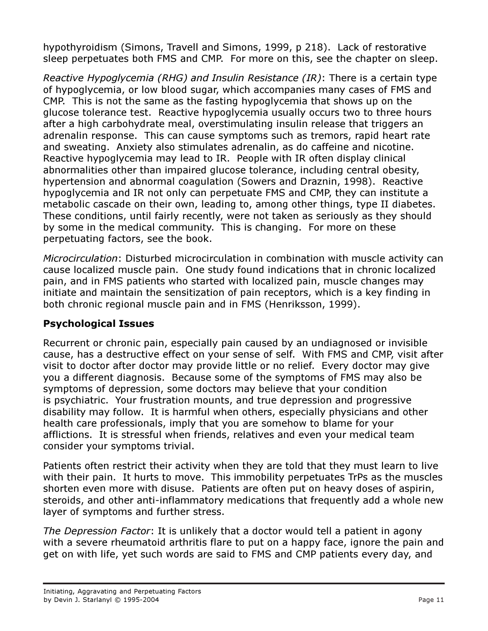hypothyroidism (Simons, Travell and Simons, 1999, p 218). Lack of restorative sleep perpetuates both FMS and CMP. For more on this, see the chapter on sleep.

Reactive Hypoglycemia (RHG) and Insulin Resistance (IR): There is a certain type of hypoglycemia, or low blood sugar, which accompanies many cases of FMS and CMP. This is not the same as the fasting hypoglycemia that shows up on the glucose tolerance test. Reactive hypoglycemia usually occurs two to three hours after a high carbohydrate meal, overstimulating insulin release that triggers an adrenalin response. This can cause symptoms such as tremors, rapid heart rate and sweating. Anxiety also stimulates adrenalin, as do caffeine and nicotine. Reactive hypoglycemia may lead to IR. People with IR often display clinical abnormalities other than impaired glucose tolerance, including central obesity, hypertension and abnormal coagulation (Sowers and Draznin, 1998). Reactive hypoglycemia and IR not only can perpetuate FMS and CMP, they can institute a metabolic cascade on their own, leading to, among other things, type II diabetes. These conditions, until fairly recently, were not taken as seriously as they should by some in the medical community. This is changing. For more on these perpetuating factors, see the book.

Microcirculation: Disturbed microcirculation in combination with muscle activity can cause localized muscle pain. One study found indications that in chronic localized pain, and in FMS patients who started with localized pain, muscle changes may initiate and maintain the sensitization of pain receptors, which is a key finding in both chronic regional muscle pain and in FMS (Henriksson, 1999).

### Psychological Issues

Recurrent or chronic pain, especially pain caused by an undiagnosed or invisible cause, has a destructive effect on your sense of self. With FMS and CMP, visit after visit to doctor after doctor may provide little or no relief. Every doctor may give you a different diagnosis. Because some of the symptoms of FMS may also be symptoms of depression, some doctors may believe that your condition is psychiatric. Your frustration mounts, and true depression and progressive disability may follow. It is harmful when others, especially physicians and other health care professionals, imply that you are somehow to blame for your afflictions. It is stressful when friends, relatives and even your medical team consider your symptoms trivial.

Patients often restrict their activity when they are told that they must learn to live with their pain. It hurts to move. This immobility perpetuates TrPs as the muscles shorten even more with disuse. Patients are often put on heavy doses of aspirin, steroids, and other anti-inflammatory medications that frequently add a whole new layer of symptoms and further stress.

The Depression Factor: It is unlikely that a doctor would tell a patient in agony with a severe rheumatoid arthritis flare to put on a happy face, ignore the pain and get on with life, yet such words are said to FMS and CMP patients every day, and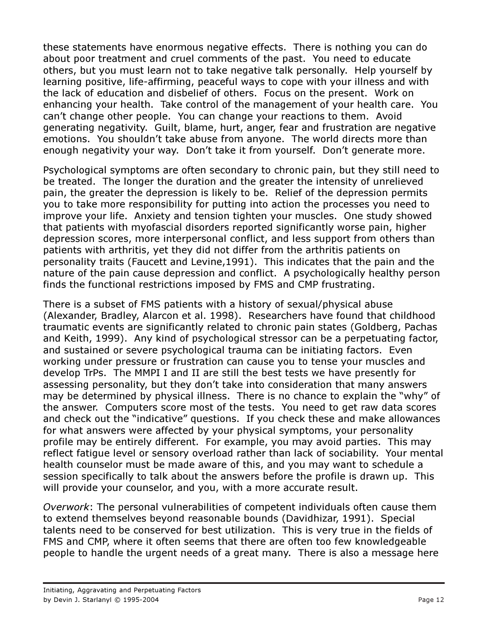these statements have enormous negative effects. There is nothing you can do about poor treatment and cruel comments of the past. You need to educate others, but you must learn not to take negative talk personally. Help yourself by learning positive, life-affirming, peaceful ways to cope with your illness and with the lack of education and disbelief of others. Focus on the present. Work on enhancing your health. Take control of the management of your health care. You can't change other people. You can change your reactions to them. Avoid generating negativity. Guilt, blame, hurt, anger, fear and frustration are negative emotions. You shouldn't take abuse from anyone. The world directs more than enough negativity your way. Don't take it from yourself. Don't generate more.

Psychological symptoms are often secondary to chronic pain, but they still need to be treated. The longer the duration and the greater the intensity of unrelieved pain, the greater the depression is likely to be. Relief of the depression permits you to take more responsibility for putting into action the processes you need to improve your life. Anxiety and tension tighten your muscles. One study showed that patients with myofascial disorders reported significantly worse pain, higher depression scores, more interpersonal conflict, and less support from others than patients with arthritis, yet they did not differ from the arthritis patients on personality traits (Faucett and Levine,1991). This indicates that the pain and the nature of the pain cause depression and conflict. A psychologically healthy person finds the functional restrictions imposed by FMS and CMP frustrating.

There is a subset of FMS patients with a history of sexual/physical abuse (Alexander, Bradley, Alarcon et al. 1998). Researchers have found that childhood traumatic events are significantly related to chronic pain states (Goldberg, Pachas and Keith, 1999). Any kind of psychological stressor can be a perpetuating factor, and sustained or severe psychological trauma can be initiating factors. Even working under pressure or frustration can cause you to tense your muscles and develop TrPs. The MMPI I and II are still the best tests we have presently for assessing personality, but they don't take into consideration that many answers may be determined by physical illness. There is no chance to explain the "why" of the answer. Computers score most of the tests. You need to get raw data scores and check out the "indicative" questions. If you check these and make allowances for what answers were affected by your physical symptoms, your personality profile may be entirely different. For example, you may avoid parties. This may reflect fatigue level or sensory overload rather than lack of sociability. Your mental health counselor must be made aware of this, and you may want to schedule a session specifically to talk about the answers before the profile is drawn up. This will provide your counselor, and you, with a more accurate result.

Overwork: The personal vulnerabilities of competent individuals often cause them to extend themselves beyond reasonable bounds (Davidhizar, 1991). Special talents need to be conserved for best utilization. This is very true in the fields of FMS and CMP, where it often seems that there are often too few knowledgeable people to handle the urgent needs of a great many. There is also a message here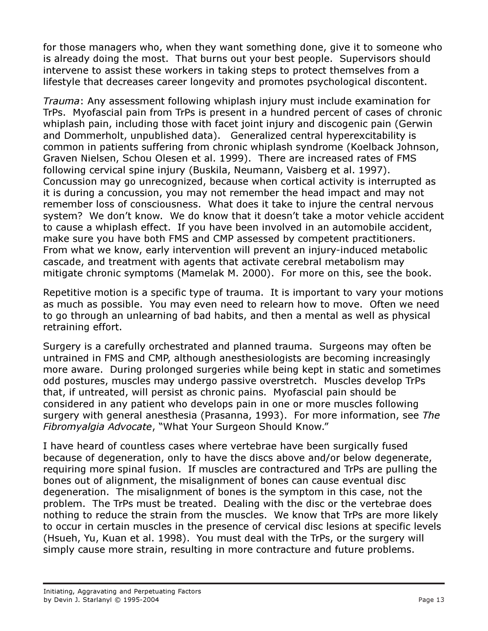for those managers who, when they want something done, give it to someone who is already doing the most. That burns out your best people. Supervisors should intervene to assist these workers in taking steps to protect themselves from a lifestyle that decreases career longevity and promotes psychological discontent.

Trauma: Any assessment following whiplash injury must include examination for TrPs. Myofascial pain from TrPs is present in a hundred percent of cases of chronic whiplash pain, including those with facet joint injury and discogenic pain (Gerwin and Dommerholt, unpublished data). Generalized central hyperexcitability is common in patients suffering from chronic whiplash syndrome (Koelback Johnson, Graven Nielsen, Schou Olesen et al. 1999). There are increased rates of FMS following cervical spine injury (Buskila, Neumann, Vaisberg et al. 1997). Concussion may go unrecognized, because when cortical activity is interrupted as it is during a concussion, you may not remember the head impact and may not remember loss of consciousness. What does it take to injure the central nervous system? We don't know. We do know that it doesn't take a motor vehicle accident to cause a whiplash effect. If you have been involved in an automobile accident, make sure you have both FMS and CMP assessed by competent practitioners. From what we know, early intervention will prevent an injury-induced metabolic cascade, and treatment with agents that activate cerebral metabolism may mitigate chronic symptoms (Mamelak M. 2000). For more on this, see the book.

Repetitive motion is a specific type of trauma. It is important to vary your motions as much as possible. You may even need to relearn how to move. Often we need to go through an unlearning of bad habits, and then a mental as well as physical retraining effort.

Surgery is a carefully orchestrated and planned trauma. Surgeons may often be untrained in FMS and CMP, although anesthesiologists are becoming increasingly more aware. During prolonged surgeries while being kept in static and sometimes odd postures, muscles may undergo passive overstretch. Muscles develop TrPs that, if untreated, will persist as chronic pains. Myofascial pain should be considered in any patient who develops pain in one or more muscles following surgery with general anesthesia (Prasanna, 1993). For more information, see The Fibromyalgia Advocate, "What Your Surgeon Should Know."

I have heard of countless cases where vertebrae have been surgically fused because of degeneration, only to have the discs above and/or below degenerate, requiring more spinal fusion. If muscles are contractured and TrPs are pulling the bones out of alignment, the misalignment of bones can cause eventual disc degeneration. The misalignment of bones is the symptom in this case, not the problem. The TrPs must be treated. Dealing with the disc or the vertebrae does nothing to reduce the strain from the muscles. We know that TrPs are more likely to occur in certain muscles in the presence of cervical disc lesions at specific levels (Hsueh, Yu, Kuan et al. 1998). You must deal with the TrPs, or the surgery will simply cause more strain, resulting in more contracture and future problems.